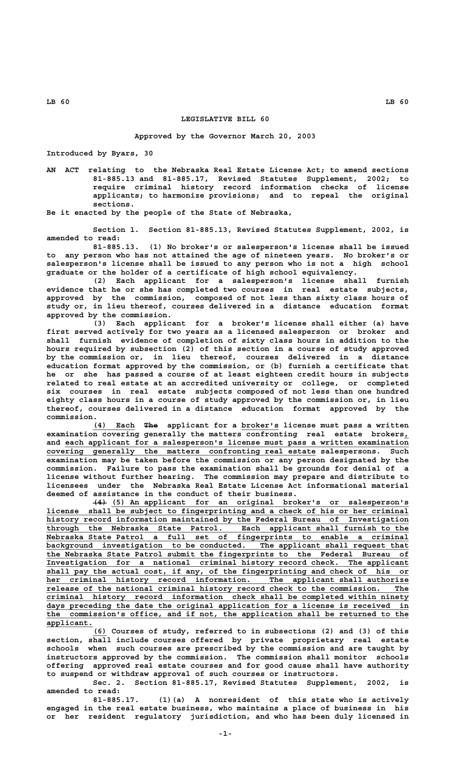## **LEGISLATIVE BILL 60**

## **Approved by the Governor March 20, 2003**

**Introduced by Byars, 30**

**AN ACT relating to the Nebraska Real Estate License Act; to amend sections 81-885.13 and 81-885.17, Revised Statutes Supplement, 2002; to require criminal history record information checks of license applicants; to harmonize provisions; and to repeal the original sections.**

**Be it enacted by the people of the State of Nebraska,**

**Section 1. Section 81-885.13, Revised Statutes Supplement, 2002, is amended to read:**

**81-885.13. (1) No broker's or salesperson's license shall be issued to any person who has not attained the age of nineteen years. No broker's or salesperson's license shall be issued to any person who is not a high school graduate or the holder of a certificate of high school equivalency.**

**(2) Each applicant for a salesperson's license shall furnish evidence that he or she has completed two courses in real estate subjects, approved by the commission, composed of not less than sixty class hours of study or, in lieu thereof, courses delivered in a distance education format approved by the commission.**

**(3) Each applicant for a broker's license shall either (a) have first served actively for two years as a licensed salesperson or broker and shall furnish evidence of completion of sixty class hours in addition to the hours required by subsection (2) of this section in a course of study approved by the commission or, in lieu thereof, courses delivered in a distance education format approved by the commission, or (b) furnish a certificate that he or she has passed a course of at least eighteen credit hours in subjects related to real estate at an accredited university or college, or completed six courses in real estate subjects composed of not less than one hundred eighty class hours in a course of study approved by the commission or, in lieu thereof, courses delivered in a distance education format approved by the commission.**

 **\_\_\_\_\_\_\_\_\_ ——— \_\_\_\_\_\_\_\_ (4) Each The applicant for a broker's license must pass a written examination covering generally the matters confronting real estate brokers,\_** and each applicant for a salesperson's license must pass a written examination  **\_\_\_\_\_\_\_\_\_\_\_\_\_\_\_\_\_\_\_\_\_\_\_\_\_\_\_\_\_\_\_\_\_\_\_\_\_\_\_\_\_\_\_\_\_\_\_\_\_\_\_\_\_\_\_\_\_\_ covering generally the matters confronting real estate salespersons. Such examination may be taken before the commission or any person designated by the commission. Failure to pass the examination shall be grounds for denial of a license without further hearing. The commission may prepare and distribute to licensees under the Nebraska Real Estate License Act informational material deemed of assistance in the conduct of their business.**

 **——— \_\_\_\_\_\_\_\_\_\_\_\_\_\_\_\_\_\_\_\_\_\_\_\_\_\_\_\_\_\_\_\_\_\_\_\_\_\_\_\_\_\_\_\_\_\_\_\_\_\_\_\_\_\_\_\_\_\_\_\_\_\_\_\_ (4) (5) An applicant for an original broker's or salesperson's \_\_\_\_\_\_\_\_\_\_\_\_\_\_\_\_\_\_\_\_\_\_\_\_\_\_\_\_\_\_\_\_\_\_\_\_\_\_\_\_\_\_\_\_\_\_\_\_\_\_\_\_\_\_\_\_\_\_\_\_\_\_\_\_\_\_\_\_\_\_\_\_\_\_\_\_\_\_ license shall be subject to fingerprinting and a check of his or her criminal** history record information maintained by the Federal Bureau of Investigation through the Nebraska State Patrol. Each applicant shall furnish to the  **\_\_\_\_\_\_\_\_\_\_\_\_\_\_\_\_\_\_\_\_\_\_\_\_\_\_\_\_\_\_\_\_\_\_\_\_\_\_\_\_\_\_\_\_\_\_\_\_\_\_\_\_\_\_\_\_\_\_\_\_\_\_\_\_\_\_\_\_\_\_\_\_\_\_\_\_\_\_ through the Nebraska State Patrol. Each applicant shall furnish to the \_\_\_\_\_\_\_\_\_\_\_\_\_\_\_\_\_\_\_\_\_\_\_\_\_\_\_\_\_\_\_\_\_\_\_\_\_\_\_\_\_\_\_\_\_\_\_\_\_\_\_\_\_\_\_\_\_\_\_\_\_\_\_\_\_\_\_\_\_\_\_\_\_\_\_\_\_\_ Nebraska State Patrol a full set of fingerprints to enable a criminal \_\_\_\_\_\_\_\_\_\_\_\_\_\_\_\_\_\_\_\_\_\_\_\_\_\_\_\_\_\_\_\_\_\_\_\_\_\_\_\_\_\_\_\_\_\_\_\_\_\_\_\_\_\_\_\_\_\_\_\_\_\_\_\_\_\_\_\_\_\_\_\_\_\_\_\_\_\_ background investigation to be conducted. The applicant shall request that \_\_\_\_\_\_\_\_\_\_\_\_\_\_\_\_\_\_\_\_\_\_\_\_\_\_\_\_\_\_\_\_\_\_\_\_\_\_\_\_\_\_\_\_\_\_\_\_\_\_\_\_\_\_\_\_\_\_\_\_\_\_\_\_\_\_\_\_\_\_\_\_\_\_\_\_\_\_ the Nebraska State Patrol submit the fingerprints to the Federal Bureau of \_\_\_\_\_\_\_\_\_\_\_\_\_\_\_\_\_\_\_\_\_\_\_\_\_\_\_\_\_\_\_\_\_\_\_\_\_\_\_\_\_\_\_\_\_\_\_\_\_\_\_\_\_\_\_\_\_\_\_\_\_\_\_\_\_\_\_\_\_\_\_\_\_\_\_\_\_\_ Investigation for a national criminal history record check. The applicant \_\_\_\_\_\_\_\_\_\_\_\_\_\_\_\_\_\_\_\_\_\_\_\_\_\_\_\_\_\_\_\_\_\_\_\_\_\_\_\_\_\_\_\_\_\_\_\_\_\_\_\_\_\_\_\_\_\_\_\_\_\_\_\_\_\_\_\_\_\_\_\_\_\_\_\_\_\_ shall pay the actual cost, if any, of the fingerprinting and check of his or** her criminal history record information. The applicant shall authorize  **\_\_\_\_\_\_\_\_\_\_\_\_\_\_\_\_\_\_\_\_\_\_\_\_\_\_\_\_\_\_\_\_\_\_\_\_\_\_\_\_\_\_\_\_\_\_\_\_\_\_\_\_\_\_\_\_\_\_\_\_\_\_\_\_\_\_\_\_\_\_\_\_\_\_\_\_\_\_ release of the national criminal history record check to the commission. The \_\_\_\_\_\_\_\_\_\_\_\_\_\_\_\_\_\_\_\_\_\_\_\_\_\_\_\_\_\_\_\_\_\_\_\_\_\_\_\_\_\_\_\_\_\_\_\_\_\_\_\_\_\_\_\_\_\_\_\_\_\_\_\_\_\_\_\_\_\_\_\_\_\_\_\_\_\_ criminal history record information check shall be completed within ninety \_\_\_\_\_\_\_\_\_\_\_\_\_\_\_\_\_\_\_\_\_\_\_\_\_\_\_\_\_\_\_\_\_\_\_\_\_\_\_\_\_\_\_\_\_\_\_\_\_\_\_\_\_\_\_\_\_\_\_\_\_\_\_\_\_\_\_\_\_\_\_\_\_\_\_\_\_\_ days preceding the date the original application for a license is received in \_\_\_\_\_\_\_\_\_\_\_\_\_\_\_\_\_\_\_\_\_\_\_\_\_\_\_\_\_\_\_\_\_\_\_\_\_\_\_\_\_\_\_\_\_\_\_\_\_\_\_\_\_\_\_\_\_\_\_\_\_\_\_\_\_\_\_\_\_\_\_\_\_\_\_\_\_\_ the commission's office, and if not, the application shall be returned to the applicant. \_\_\_\_\_\_\_\_\_\_**

 **\_\_\_ (6) Courses of study, referred to in subsections (2) and (3) of this section, shall include courses offered by private proprietary real estate schools when such courses are prescribed by the commission and are taught by instructors approved by the commission. The commission shall monitor schools offering approved real estate courses and for good cause shall have authority to suspend or withdraw approval of such courses or instructors.**

**Sec. 2. Section 81-885.17, Revised Statutes Supplement, 2002, is amended to read:**

**81-885.17. (1)(a) A nonresident of this state who is actively engaged in the real estate business, who maintains a place of business in his or her resident regulatory jurisdiction, and who has been duly licensed in**